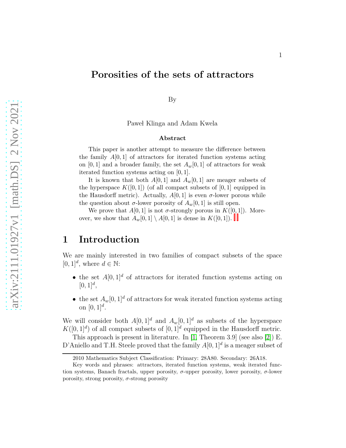## Porosities of the sets of attractors

By

Pawel Klinga and Adam Kwela

#### Abstract

This paper is another attempt to measure the difference between the family  $A[0,1]$  of attractors for iterated function systems acting on [0, 1] and a broader family, the set  $A_w[0, 1]$  of attractors for weak iterated function systems acting on [0, 1].

It is known that both  $A[0,1]$  and  $A_w[0,1]$  are meager subsets of the hyperspace  $K([0,1])$  (of all compact subsets of [0, 1] equipped in the Hausdorff metric). Actually,  $A[0,1]$  is even  $\sigma$ -lower porous while the question about  $\sigma$ -lower porosity of  $A_w[0, 1]$  is still open.

We prove that  $A[0,1]$  $A[0,1]$  $A[0,1]$  $A[0,1]$  $A[0,1]$  is not  $\sigma$ -strongly porous in  $K([0,1])$ . Moreover, we show that  $A_w[0,1] \setminus A[0,1]$  is dense in  $K([0,1])$ .

### 1 Introduction

We are mainly interested in two families of compact subsets of the space [0, 1]<sup>d</sup>, where  $d \in \mathbb{N}$ :

- the set  $A[0,1]^d$  of attractors for iterated function systems acting on  $[0, 1]^d$ ,
- the set  $A_w[0,1]^d$  of attractors for weak iterated function systems acting on  $[0, 1]^d$ .

We will consider both  $A[0, 1]^d$  and  $A_w[0, 1]^d$  as subsets of the hyperspace  $K([0,1]^d)$  of all compact subsets of  $[0,1]^d$  equipped in the Hausdorff metric.

This approach is present in literature. In [\[1,](#page-11-0) Theorem 3.9] (see also [\[2\]](#page-11-1)) E. D'Aniello and T.H. Steele proved that the family  $A[0, 1]^d$  is a meager subset of

<span id="page-0-0"></span><sup>2010</sup> Mathematics Subject Classification: Primary: 28A80. Secondary: 26A18.

<span id="page-0-1"></span>Key words and phrases: attractors, iterated function systems, weak iterated function systems, Banach fractals, upper porosity,  $\sigma$ -upper porosity, lower porosity,  $\sigma$ -lower porosity, strong porosity,  $\sigma$ -strong porosity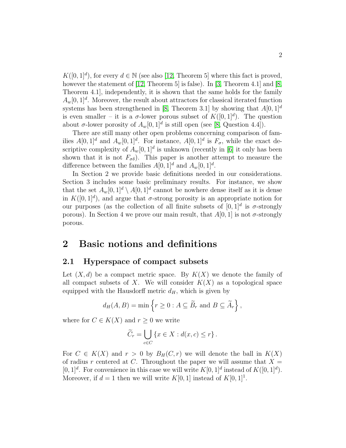$K([0,1]^d)$ , for every  $d \in \mathbb{N}$  (see also [\[12,](#page-12-0) Theorem 5] where this fact is proved, however the statement of [\[12,](#page-12-0) Theorem 5] is false). In [\[3,](#page-11-2) Theorem 4.1] and [\[8,](#page-12-1) Theorem 4.1], independently, it is shown that the same holds for the family  $A_w[0,1]^d$ . Moreover, the result about attractors for classical iterated function systems has been strengthened in [\[8,](#page-12-1) Theorem 3.1] by showing that  $A[0, 1]^d$ is even smaller – it is a  $\sigma$ -lower porous subset of  $K([0,1]^d)$ . The question about  $\sigma$ -lower porosity of  $A_w[0,1]^d$  is still open (see [\[8,](#page-12-1) Question 4.4]).

There are still many other open problems concerning comparison of families  $A[0,1]^d$  and  $A_w[0,1]^d$ . For instance,  $A[0,1]^d$  is  $F_\sigma$ , while the exact descriptive complexity of  $A_w[0,1]^d$  is unknown (recently in [\[6\]](#page-12-2) it only has been shown that it is not  $F_{\sigma\delta}$ ). This paper is another attempt to measure the difference between the families  $A[0, 1]^d$  and  $A_w[0, 1]^d$ .

In Section 2 we provide basic definitions needed in our considerations. Section 3 includes some basic preliminary results. For instance, we show that the set  $A_w[0,1]^d \setminus A[0,1]^d$  cannot be nowhere dense itself as it is dense in  $K([0,1]^d)$ , and argue that  $\sigma$ -strong porosity is an appropriate notion for our purposes (as the collection of all finite subsets of  $[0,1]^d$  is  $\sigma$ -strongly porous). In Section 4 we prove our main result, that  $A[0, 1]$  is not  $\sigma$ -strongly porous.

## 2 Basic notions and definitions

#### 2.1 Hyperspace of compact subsets

Let  $(X, d)$  be a compact metric space. By  $K(X)$  we denote the family of all compact subsets of X. We will consider  $K(X)$  as a topological space equipped with the Hausdorff metric  $d_H$ , which is given by

$$
d_H(A, B) = \min \{ r \ge 0 : A \subseteq \widetilde{B}_r \text{ and } B \subseteq \widetilde{A}_r \},
$$

where for  $C \in K(X)$  and  $r \geq 0$  we write

$$
\widetilde{C}_r = \bigcup_{c \in C} \{ x \in X : d(x, c) \le r \} .
$$

For  $C \in K(X)$  and  $r > 0$  by  $B_H(C, r)$  we will denote the ball in  $K(X)$ of radius r centered at C. Throughout the paper we will assume that  $X =$ [0, 1]<sup>d</sup>. For convenience in this case we will write  $K[0, 1]^d$  instead of  $K([0, 1]^d)$ . Moreover, if  $d = 1$  then we will write  $K[0, 1]$  instead of  $K[0, 1]$ <sup>1</sup>.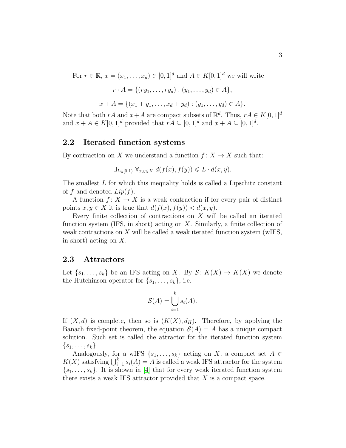For  $r \in \mathbb{R}$ ,  $x = (x_1, \ldots, x_d) \in [0, 1]^d$  and  $A \in K[0, 1]^d$  we will write

$$
r \cdot A = \{(ry_1, \dots, ry_d) : (y_1, \dots, y_d) \in A\},\
$$

$$
x + A = \{(x_1 + y_1, \dots, x_d + y_d) : (y_1, \dots, y_d) \in A\}.
$$

Note that both  $rA$  and  $x+A$  are compact subsets of  $\mathbb{R}^d$ . Thus,  $rA \in K[0,1]^d$ and  $x + A \in K[0,1]^d$  provided that  $rA \subseteq [0,1]^d$  and  $x + A \subseteq [0,1]^d$ .

### 2.2 Iterated function systems

By contraction on X we understand a function  $f: X \to X$  such that:

$$
\exists_{L \in [0,1)} \ \forall_{x,y \in X} \ d(f(x), f(y)) \leq L \cdot d(x,y).
$$

The smallest L for which this inequality holds is called a Lipschitz constant of f and denoted  $Lip(f)$ .

A function  $f: X \to X$  is a weak contraction if for every pair of distinct points  $x, y \in X$  it is true that  $d(f(x), f(y)) < d(x, y)$ .

Every finite collection of contractions on  $X$  will be called an iterated function system (IFS, in short) acting on  $X$ . Similarly, a finite collection of weak contractions on X will be called a weak iterated function system (wIFS, in short) acting on X.

#### 2.3 Attractors

Let  $\{s_1, \ldots, s_k\}$  be an IFS acting on X. By  $S: K(X) \to K(X)$  we denote the Hutchinson operator for  $\{s_1, \ldots, s_k\}$ , i.e.

$$
\mathcal{S}(A) = \bigcup_{i=1}^{k} s_i(A).
$$

If  $(X, d)$  is complete, then so is  $(K(X), d_H)$ . Therefore, by applying the Banach fixed-point theorem, the equation  $\mathcal{S}(A) = A$  has a unique compact solution. Such set is called the attractor for the iterated function system  $\{s_1,\ldots,s_k\}.$ 

Analogously, for a wIFS  $\{s_1, \ldots, s_k\}$  acting on X, a compact set  $A \in$  $K(X)$  satisfying  $\bigcup_{i=1}^k s_i(A) = A$  is called a weak IFS attractor for the system  ${s_1, \ldots, s_k}$ . It is shown in [\[4\]](#page-11-3) that for every weak iterated function system there exists a weak IFS attractor provided that  $X$  is a compact space.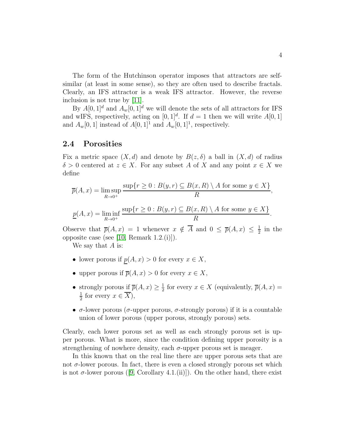The form of the Hutchinson operator imposes that attractors are selfsimilar (at least in some sense), so they are often used to describe fractals. Clearly, an IFS attractor is a weak IFS attractor. However, the reverse inclusion is not true by [\[11\]](#page-12-3).

By  $A[0,1]^d$  and  $A_w[0,1]^d$  we will denote the sets of all attractors for IFS and wIFS, respectively, acting on  $[0, 1]^d$ . If  $d = 1$  then we will write  $A[0, 1]$ and  $A_w[0,1]$  instead of  $A[0,1]$ <sup>1</sup> and  $A_w[0,1]$ <sup>1</sup>, respectively.

#### 2.4 Porosities

Fix a metric space  $(X, d)$  and denote by  $B(z, \delta)$  a ball in  $(X, d)$  of radius  $\delta > 0$  centered at  $z \in X$ . For any subset A of X and any point  $x \in X$  we define

$$
\overline{p}(A, x) = \limsup_{R \to 0^+} \frac{\sup\{r \ge 0 : B(y, r) \subseteq B(x, R) \setminus A \text{ for some } y \in X\}}{R},
$$
  

$$
\underline{p}(A, x) = \liminf_{R \to 0^+} \frac{\sup\{r \ge 0 : B(y, r) \subseteq B(x, R) \setminus A \text{ for some } y \in X\}}{R}.
$$

Observe that  $\overline{p}(A,x) = 1$  whenever  $x \notin \overline{A}$  and  $0 \leq \overline{p}(A,x) \leq \frac{1}{2}$  $rac{1}{2}$  in the opposite case (see [\[10,](#page-12-4) Remark 1.2.(i)]).

We say that  $A$  is:

- lower porous if  $\underline{p}(A, x) > 0$  for every  $x \in X$ ,
- upper porous if  $\overline{p}(A, x) > 0$  for every  $x \in X$ ,
- strongly porous if  $\overline{p}(A, x) \geq \frac{1}{2}$  $\frac{1}{2}$  for every  $x \in X$  (equivalently,  $\overline{p}(A, x) =$ 1  $\frac{1}{2}$  for every  $x \in X$ ,
- $\sigma$ -lower porous ( $\sigma$ -upper porous,  $\sigma$ -strongly porous) if it is a countable union of lower porous (upper porous, strongly porous) sets.

Clearly, each lower porous set as well as each strongly porous set is upper porous. What is more, since the condition defining upper porosity is a strengthening of nowhere density, each  $\sigma$ -upper porous set is meager.

In this known that on the real line there are upper porous sets that are not  $\sigma$ -lower porous. In fact, there is even a closed strongly porous set which is not  $\sigma$ -lower porous ([\[9,](#page-12-5) Corollary 4.1.(ii)]). On the other hand, there exist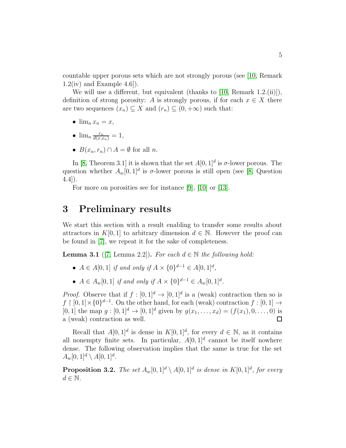countable upper porous sets which are not strongly porous (see [\[10,](#page-12-4) Remark  $1.2(iv)$  and Example  $4.6$ ].

We will use a different, but equivalent (thanks to [\[10,](#page-12-4) Remark 1.2.(ii)]), definition of strong porosity: A is strongly porous, if for each  $x \in X$  there are two sequences  $(x_n) \subseteq X$  and  $(r_n) \subseteq (0, +\infty)$  such that:

- $\lim_{n} x_n = x$ ,
- $\lim_n \frac{r_n}{d(x,x_n)} = 1,$
- $B(x_n, r_n) \cap A = \emptyset$  for all *n*.

In [\[8,](#page-12-1) Theorem 3.1] it is shown that the set  $A[0,1]^d$  is  $\sigma$ -lower porous. The question whether  $A_w[0,1]^d$  is  $\sigma$ -lower porous is still open (see [\[8,](#page-12-1) Question 4.4]).

For more on porosities see for instance [\[9\]](#page-12-5), [\[10\]](#page-12-4) or [\[13\]](#page-12-6).

## 3 Preliminary results

We start this section with a result enabling to transfer some results about attractors in K[0, 1] to arbitrary dimension  $d \in \mathbb{N}$ . However the proof can be found in [\[7\]](#page-12-7), we repeat it for the sake of completeness.

<span id="page-4-0"></span>**Lemma 3.1** ([\[7,](#page-12-7) Lemma 2.2]). For each  $d \in \mathbb{N}$  the following hold:

- $A \in A[0,1]$  *if and only if*  $A \times \{0\}^{d-1} \in A[0,1]^d$ ,
- $A \in A_w[0,1]$  if and only if  $A \times \{0\}^{d-1} \in A_w[0,1]^d$ .

*Proof.* Observe that if  $f : [0,1]^d \to [0,1]^d$  is a (weak) contraction then so is  $f \restriction [0,1] \times \{0\}^{d-1}$ . On the other hand, for each (weak) contraction  $f : [0,1] \to$ [0, 1] the map  $g : [0, 1]^d \to [0, 1]^d$  given by  $g(x_1, \ldots, x_d) = (f(x_1), 0, \ldots, 0)$  is a (weak) contraction as well.  $\Box$ 

Recall that  $A[0,1]^d$  is dense in  $K[0,1]^d$ , for every  $d \in \mathbb{N}$ , as it contains all nonempty finite sets. In particular,  $A[0,1]^d$  cannot be itself nowhere dense. The following observation implies that the same is true for the set  $A_w[0,1]^d \setminus A[0,1]^d$ .

**Proposition 3.2.** The set  $A_w[0,1]^d \setminus A[0,1]^d$  is dense in  $K[0,1]^d$ , for every  $d \in \mathbb{N}$ .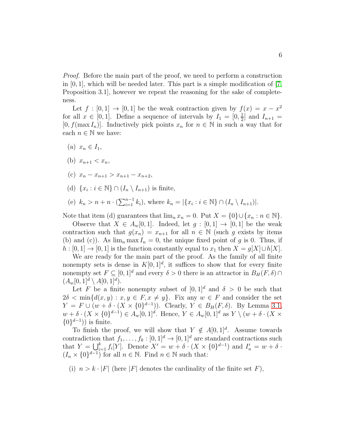*Proof.* Before the main part of the proof, we need to perform a construction in  $[0, 1]$ , which will be needed later. This part is a simple modification of  $[7, 1]$ Proposition 3.1], however we repeat the reasoning for the sake of completeness.

Let  $f : [0,1] \to [0,1]$  be the weak contraction given by  $f(x) = x - x^2$ for all  $x \in [0,1]$ . Define a sequence of intervals by  $I_1 = [0, \frac{1}{2}]$  $\frac{1}{2}$  and  $I_{n+1}$  = [0,  $f(\max I_n)$ ]. Inductively pick points  $x_n$  for  $n \in \mathbb{N}$  in such a way that for each  $n \in \mathbb{N}$  we have:

- (a)  $x_n \in I_1$ ,
- (b)  $x_{n+1} < x_n$ ,
- (c)  $x_n x_{n+1} > x_{n+1} x_{n+2}$
- (d)  $\{x_i : i \in \mathbb{N}\} \cap (I_n \setminus I_{n+1})$  is finite,
- (e)  $k_n > n + n \cdot (\sum_{i=1}^{n-1} k_i)$ , where  $k_n = |\{x_i : i \in \mathbb{N}\} \cap (I_n \setminus I_{n+1})|$ .

Note that item (d) guarantees that  $\lim_n x_n = 0$ . Put  $X = \{0\} \cup \{x_n : n \in \mathbb{N}\}.$ 

Observe that  $X \in A_w[0,1]$ . Indeed, let  $g : [0,1] \rightarrow [0,1]$  be the weak contraction such that  $g(x_n) = x_{n+1}$  for all  $n \in \mathbb{N}$  (such g exists by items (b) and (c)). As  $\lim_{n} \max I_n = 0$ , the unique fixed point of g is 0. Thus, if  $h : [0,1] \to [0,1]$  is the function constantly equal to  $x_1$  then  $X = g[X] \cup h[X]$ .

We are ready for the main part of the proof. As the family of all finite nonempty sets is dense in  $K[0, 1]^d$ , it suffices to show that for every finite nonempty set  $F \subseteq [0,1]^d$  and every  $\delta > 0$  there is an attractor in  $B_H(F,\delta) \cap$  $(A_w[0,1]^d \setminus A[0,1]^d).$ 

Let F be a finite nonempty subset of  $[0, 1]^d$  and  $\delta > 0$  be such that  $2\delta < \min\{d(x,y): x,y \in F, x \neq y\}.$  Fix any  $w \in F$  and consider the set  $Y = F \cup (w + \delta \cdot (X \times \{0\}^{d-1}))$ . Clearly,  $Y \in B_H(F, \delta)$ . By Lemma [3.1,](#page-4-0)  $w + \delta \cdot (X \times \{0\}^{d-1}) \in A_w[0,1]^d$ . Hence,  $Y \in A_w[0,1]^d$  as  $Y \setminus (w + \delta \cdot (X \times$  $\{0\}^{d-1})$  is finite.

To finish the proof, we will show that  $Y \notin A[0,1]^d$ . Assume towards contradiction that  $f_1, \ldots, f_k : [0, 1]^d \to [0, 1]^d$  are standard contractions such that  $Y = \bigcup_{i=1}^{k} f_i[Y]$ . Denote  $X' = w + \delta \cdot (X \times \{0\}^{d-1})$  and  $I'_n = w + \delta \cdot$  $(I_n \times \{0\}^{d-1})$  for all  $n \in \mathbb{N}$ . Find  $n \in \mathbb{N}$  such that:

(i)  $n > k \cdot |F|$  (here |F| denotes the cardinality of the finite set F),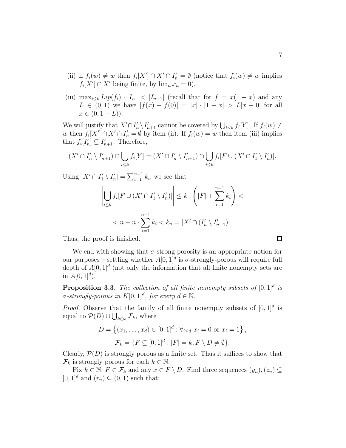- (ii) if  $f_i(w) \neq w$  then  $f_i[X'] \cap X' \cap I'_n = \emptyset$  (notice that  $f_i(w) \neq w$  implies  $f_i[X'] \cap X'$  being finite, by  $\lim_n x_n = 0$ ,
- (iii)  $\max_{i\leq k} Lip(f_i) \cdot |I_n| < |I_{n+1}|$  (recall that for  $f = x(1-x)$  and any  $L \in (0,1)$  we have  $|f(x) - f(0)| = |x| \cdot |1 - x| > L|x - 0|$  for all  $x \in (0, 1 - L)$ .

We will justify that  $X' \cap I'_n \setminus I'_{n+1}$  cannot be covered by  $\bigcup_{i \leq k} f_i[Y]$ . If  $f_i(w) \neq$ w then  $f_i[X'] \cap X' \cap I'_n = \emptyset$  by item (ii). If  $f_i(w) = w$  then item (iii) implies that  $f_i[I'_n] \subseteq I'_{n+1}$ . Therefore,

$$
(X' \cap I'_n \setminus I'_{n+1}) \cap \bigcup_{i \leq k} f_i[Y] = (X' \cap I'_n \setminus I'_{n+1}) \cap \bigcup_{i \leq k} f_i[F \cup (X' \cap I'_1 \setminus I'_n)].
$$

Using  $|X' \cap I'_1 \setminus I'_n| = \sum_{i=1}^{n-1} k_i$ , we see that

$$
\left| \bigcup_{i \leq k} f_i[F \cup (X' \cap I'_1 \setminus I'_n)] \right| \leq k \cdot \left( |F| + \sum_{i=1}^{n-1} k_i \right) < n + n \cdot \sum_{i=1}^{n-1} k_i < k_n = |X' \cap (I'_n \setminus I'_{n+1})|.
$$

Thus, the proof is finished.

We end with showing that  $\sigma$ -strong-porosity is an appropriate notion for our purposes – settling whether  $A[0,1]^d$  is  $\sigma$ -strongly-porous will require full depth of  $A[0,1]^d$  (not only the information that all finite nonempty sets are in  $A[0, 1]^d$ .

Proposition 3.3. The collection of all finite nonempty subsets of  $[0,1]^d$  is  $\sigma$ -strongly-porous in  $K[0,1]^d$ , for every  $d \in \mathbb{N}$ .

*Proof.* Observe that the family of all finite nonempty subsets of  $[0, 1]^d$  is equal to  $\mathcal{P}(D) \cup \bigcup_{k \in \omega} \mathcal{F}_k$ , where

$$
D = \{(x_1, ..., x_d) \in [0, 1]^d : \forall_{i \le d} \ x_i = 0 \text{ or } x_i = 1\},\
$$
  

$$
\mathcal{F}_k = \{F \subseteq [0, 1]^d : |F| = k, F \setminus D \neq \emptyset\}.
$$

Clearly,  $\mathcal{P}(D)$  is strongly porous as a finite set. Thus it suffices to show that  $\mathcal{F}_k$  is strongly porous for each  $k \in \mathbb{N}$ .

Fix  $k \in \mathbb{N}$ ,  $F \in \mathcal{F}_k$  and any  $x \in F \setminus D$ . Find three sequences  $(y_n), (z_n) \subseteq$  $[0, 1]^d$  and  $(r_n) \subseteq (0, 1)$  such that:

 $\Box$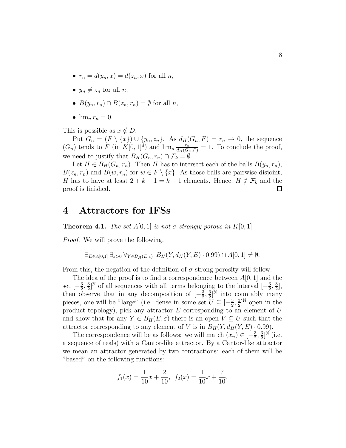- $r_n = d(y_n, x) = d(z_n, x)$  for all n,
- $y_n \neq z_n$  for all n,
- $B(y_n, r_n) \cap B(z_n, r_n) = \emptyset$  for all *n*,
- $\lim_{n} r_n = 0$ .

This is possible as  $x \notin D$ .

Put  $G_n = (F \setminus \{x\}) \cup \{y_n, z_n\}$ . As  $d_H(G_n, F) = r_n \to 0$ , the sequence  $(G_n)$  tends to F (in  $K[0,1]^d$ ) and  $\lim_n \frac{r_n}{d_H(G_n,F)} = 1$ . To conclude the proof, we need to justify that  $B_H(G_n, r_n) \cap \mathcal{F}_k = \emptyset$ .

Let  $H \in B_H(G_n, r_n)$ . Then H has to intersect each of the balls  $B(y_n, r_n)$ ,  $B(z_n, r_n)$  and  $B(w, r_n)$  for  $w \in F \setminus \{x\}$ . As those balls are pairwise disjoint, H has to have at least  $2 + k - 1 = k + 1$  elements. Hence,  $H \notin \mathcal{F}_k$  and the proof is finished.  $\Box$ 

### 4 Attractors for IFSs

**Theorem 4.1.** *The set*  $A[0,1]$  *is not*  $\sigma$ -strongly porous in  $K[0,1]$ *.* 

*Proof.* We will prove the following.

$$
\exists_{E \in A[0,1]} \exists_{\varepsilon > 0} \ \forall_{Y \in B_H(E,\varepsilon)} \ B_H(Y, d_H(Y, E) \cdot 0.99) \cap A[0,1] \neq \emptyset.
$$

From this, the negation of the definition of  $\sigma$ -strong porosity will follow.

The idea of the proof is to find a correspondence between  $A[0, 1]$  and the set  $\left[-\frac{3}{2}\right]$  $\frac{3}{2}$ ,  $\frac{3}{2}$  $\frac{3}{2}$ <sup>N</sup> of all sequences with all terms belonging to the interval  $\left[-\frac{3}{2}\right]$  $\frac{3}{2}$ ,  $\frac{3}{2}$  $\frac{3}{2}$ , then observe that in any decomposition of  $\left[-\frac{3}{2}\right]$  $\frac{3}{2}$ ,  $\frac{3}{2}$  $\frac{3}{2}$ <sup>N</sup> into countably many pieces, one will be "large" (i.e. dense in some set  $\bar{U} \subseteq \left[-\frac{3}{2}\right]$  $\frac{3}{2}$ ,  $\frac{3}{2}$  $\frac{3}{2}$ <sup>N</sup> open in the product topology), pick any attractor  $E$  corresponding to an element of  $U$ and show that for any  $Y \in B_H(E, \varepsilon)$  there is an open  $V \subseteq U$  such that the attractor corresponding to any element of V is in  $B_H(Y, d_H(Y, E) \cdot 0.99)$ .

The correspondence will be as follows: we will match  $(x_n) \in \left[-\frac{3}{2}\right]$  $\frac{3}{2}$ ,  $\frac{3}{2}$  $\frac{3}{2}$ ]<sup>N</sup> (i.e. a sequence of reals) with a Cantor-like attractor. By a Cantor-like attractor we mean an attractor generated by two contractions: each of them will be "based" on the following functions:

$$
f_1(x) = \frac{1}{10}x + \frac{2}{10}, \quad f_2(x) = \frac{1}{10}x + \frac{7}{10}.
$$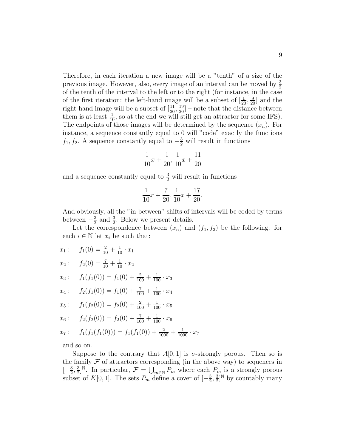Therefore, in each iteration a new image will be a "tenth" of a size of the previous image. However, also, every image of an interval can be moved by  $\frac{3}{2}$ of the tenth of the interval to the left or to the right (for instance, in the case of the first iteration: the left-hand image will be a subset of  $[\frac{1}{20}, \frac{9}{20}]$  and the right-hand image will be a subset of  $\left[\frac{11}{20}, \frac{19}{20}\right]$  – note that the distance between them is at least  $\frac{1}{10}$ , so at the end we will still get an attractor for some IFS). The endpoints of those images will be determined by the sequence  $(x_n)$ . For instance, a sequence constantly equal to 0 will "code" exactly the functions  $f_1, f_2$ . A sequence constantly equal to  $-\frac{3}{2}$  will result in functions

$$
\frac{1}{10}x + \frac{1}{20}, \frac{1}{10}x + \frac{11}{20}
$$

and a sequence constantly equal to  $\frac{3}{2}$  will result in functions

$$
\frac{1}{10}x + \frac{7}{20}, \frac{1}{10}x + \frac{17}{20}.
$$

And obviously, all the "in-between" shifts of intervals will be coded by terms between  $-\frac{3}{2}$  $\frac{3}{2}$  and  $\frac{3}{2}$ . Below we present details.

Let the correspondence between  $(x_n)$  and  $(f_1, f_2)$  be the following: for each  $i \in \mathbb{N}$  let  $x_i$  be such that:

 $x_1: f_1(0) = \frac{2}{10} + \frac{1}{10} \cdot x_1$  $x_2: f_2(0) = \frac{7}{10} + \frac{1}{10} \cdot x_2$  $x_3: f_1(f_1(0)) = f_1(0) + \frac{2}{100} + \frac{1}{100} \cdot x_3$  $x_4: f_2(f_1(0)) = f_1(0) + \frac{7}{100} + \frac{1}{100} \cdot x_4$  $x_5: f_1(f_2(0)) = f_2(0) + \frac{2}{100} + \frac{1}{100} \cdot x_5$  $x_6: f_2(f_2(0)) = f_2(0) + \frac{7}{100} + \frac{1}{100} \cdot x_6$ 

$$
x_7
$$
:  $f_1(f_1(f_1(0))) = f_1(f_1(0)) + \frac{2}{1000} + \frac{1}{1000} \cdot x_7$ 

and so on.

Suppose to the contrary that  $A[0,1]$  is  $\sigma$ -strongly porous. Then so is the family  $\mathcal F$  of attractors corresponding (in the above way) to sequences in  $\left[-\frac{3}{2}\right]$  $\frac{3}{2}$ ,  $\frac{3}{2}$  $\mathbb{E}_{2}^{3}$ <sup>N</sup>. In particular,  $\mathcal{F} = \bigcup_{m \in \mathbb{N}} P_m$  where each  $P_m$  is a strongly porous subset of K[0, 1]. The sets  $P_m$  define a cover of  $\left[-\frac{3}{2}\right]$  $\frac{3}{2}$ ,  $\frac{3}{2}$  $\frac{3}{2}$ <sup>N</sup> by countably many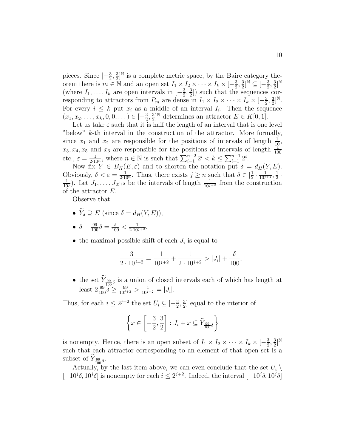pieces. Since  $\left[-\frac{3}{2}\right]$  $\frac{3}{2}$ ,  $\frac{3}{2}$  $\frac{3}{2}$ <sup>N</sup> is a complete metric space, by the Baire category theorem there is  $m \in \mathbb{N}$  and an open set  $I_1 \times I_2 \times \cdots \times I_k \times [-\frac{3}{2}]$  $\frac{3}{2}$ ,  $\frac{3}{2}$  $\frac{3}{2}$ ]<sup>N</sup>  $\subseteq$   $\left[-\frac{3}{2}\right]$  $\frac{3}{2}$ ,  $\frac{3}{2}$  $\frac{3}{2}$ ]<sup>N</sup> (where  $I_1, \ldots, I_k$  are open intervals in  $\left[-\frac{3}{2}\right]$  $\frac{3}{2}, \frac{3}{2}$  $\frac{3}{2}$ ) such that the sequences corresponding to attractors from  $P_m$  are dense in  $I_1 \times I_2 \times \cdots \times I_k \times [-\frac{3}{2}]$  $\frac{3}{2}$ ,  $\frac{3}{2}$  $\frac{3}{2}$ ]<sup>N</sup>. For every  $i \leq k$  put  $x_i$  as a middle of an interval  $I_i$ . Then the sequence  $(x_1, x_2, \ldots, x_k, 0, 0, \ldots) \in [-\frac{3}{2}]$  $\frac{3}{2}, \frac{3}{2}$  $\frac{3}{2}$ <sup>N</sup> determines an attractor  $E \in K[0,1]$ .

Let us take  $\varepsilon$  such that it is half the length of an interval that is one level "below"  $k$ -th interval in the construction of the attractor. More formally, since  $x_1$  and  $x_2$  are responsible for the positions of intervals of length  $\frac{1}{10}$ ,  $x_3, x_4, x_5$  and  $x_6$  are responsible for the positions of intervals of length  $\frac{1}{100}$ etc.,  $\varepsilon = \frac{1}{2 \cdot 10^n}$ , where  $n \in \mathbb{N}$  is such that  $\sum_{i=1}^{n-2} 2^i < k \le \sum_{i=1}^{n-1} 2^i$ .

Now fix  $Y \in B_H(E, \varepsilon)$  and to shorten the notation put  $\delta = d_H(Y, E)$ . Obviously,  $\delta < \varepsilon = \frac{1}{2 \cdot 10^n}$ . Thus, there exists  $j \geq n$  such that  $\delta \in [\frac{1}{2}]$  $\frac{1}{2} \cdot \frac{1}{10^{j+1}}, \frac{1}{2}$  $\frac{1}{2}$ .  $\frac{1}{10^j}$ ). Let  $J_1, \ldots, J_{2^{j+2}}$  be the intervals of length  $\frac{1}{10^{j+2}}$  from the construction of the attractor E.

Observe that:

- $\widetilde{Y}_{\delta} \supset E$  (since  $\delta = d_H(Y, E)$ ),
- $\delta \frac{99}{100}\delta = \frac{\delta}{100} < \frac{1}{2 \cdot 10^{j+2}},$
- the maximal possible shift of each  $J_i$  is equal to

$$
\frac{3}{2 \cdot 10^{j+2}} = \frac{1}{10^{j+2}} + \frac{1}{2 \cdot 10^{j+2}} > |J_i| + \frac{\delta}{100},
$$

• the set  $\widetilde{Y}_{\frac{99}{100}\delta}$  is a union of closed intervals each of which has length at least  $2\frac{99}{100}\delta \ge \frac{99}{10^{j+3}} > \frac{1}{10^{j+2}} = |J_i|$ .

Thus, for each  $i \leq 2^{j+2}$  the set  $U_i \subseteq \left[-\frac{3}{2}\right]$  $\frac{3}{2}$ ,  $\frac{3}{2}$  $\frac{3}{2}$  equal to the interior of

$$
\left\{ x \in \left[ -\frac{3}{2}, \frac{3}{2} \right] : J_i + x \subseteq \widetilde{Y}_{\frac{99}{100}\delta} \right\}
$$

is nonempty. Hence, there is an open subset of  $I_1 \times I_2 \times \cdots \times I_k \times [-\frac{3}{2}]$  $\frac{3}{2}$ ,  $\frac{3}{2}$  $\frac{3}{2}$ ]<sup>N</sup> such that each attractor corresponding to an element of that open set is a subset of  $Y_{\frac{99}{100}\delta}$ .

Actually, by the last item above, we can even conclude that the set  $U_i \setminus$ [-10<sup>j</sup>δ, 10<sup>j</sup>δ] is nonempty for each  $i \leq 2^{j+2}$ . Indeed, the interval [-10<sup>j</sup>δ, 10<sup>j</sup>δ]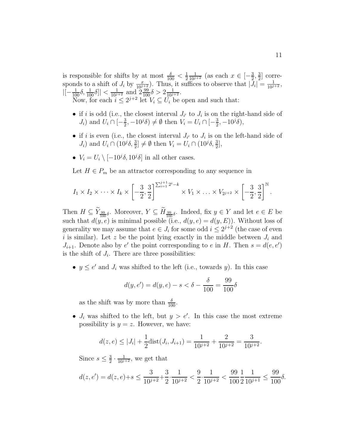is responsible for shifts by at most  $\frac{\delta}{100} < \frac{1}{2}$ 2  $\frac{1}{10^{j+2}}$  (as each  $x \in \left[-\frac{3}{2}\right]$  $\frac{3}{2}, \frac{3}{2}$  $\frac{3}{2}$  corresponds to a shift of  $J_i$  by  $\frac{x}{10^{j+2}}$ . Thus, it suffices to observe that  $|\bar{J}_i| = \frac{1}{10^{j+2}}$ ,  $|[-\frac{1}{100}\delta, \frac{1}{100}\delta]| < \frac{1}{10^{j+2}} \text{ and } 2\frac{99}{100}\delta > 2\frac{1}{10^{j+2}}.$ 

Now, for each  $i \leq 2^{j+2}$  let  $V_i \subseteq U_i$  be open and such that:

- if i is odd (i.e., the closest interval  $J_{i'}$  to  $J_i$  is on the right-hand side of  $J_i$ ) and  $U_i \cap \left[-\frac{3}{2}\right]$  $(\frac{3}{2}, -10^j \delta) \neq \emptyset$  then  $V_i = U_i \cap [-\frac{3}{2}]$  $\frac{3}{2}, -10^{j}\delta$ ),
- if i is even (i.e., the closest interval  $J_{i'}$  to  $J_i$  is on the left-hand side of  $J_i$ ) and  $U_i \cap (10^j \delta, \frac{3}{2}] \neq \emptyset$  then  $V_i = U_i \cap (10^j \delta, \frac{3}{2}],$
- $V_i = U_i \setminus [-10^j \delta, 10^j \delta]$  in all other cases.

Let  $H \in P_m$  be an attractor corresponding to any sequence in

$$
I_1 \times I_2 \times \cdots \times I_k \times \left[ -\frac{3}{2}, \frac{3}{2} \right]^{\sum_{i=1}^{j+1} 2^i - k} \times V_1 \times \ldots \times V_{2^{j+2}} \times \left[ -\frac{3}{2}, \frac{3}{2} \right]^{\mathbb{N}}.
$$

Then  $H \subseteq Y_{\frac{99}{100}\delta}$ . Moreover,  $Y \subseteq H_{\frac{99}{100}\delta}$ . Indeed, fix  $y \in Y$  and let  $e \in E$  be such that  $d(y, e)$  is minimal possible (i.e.,  $d(y, e) = d(y, E)$ ). Without loss of generality we may assume that  $e \in J_i$  for some odd  $i \leq 2^{j+2}$  (the case of even i is similar). Let z be the point lying exactly in the middle between  $J_i$  and  $J_{i+1}$ . Denote also by  $e'$  the point corresponding to  $e$  in  $H$ . Then  $s = d(e, e')$ is the shift of  $J_i$ . There are three possibilities:

•  $y \leq e'$  and  $J_i$  was shifted to the left (i.e., towards y). In this case

$$
d(y, e') = d(y, e) - s < \delta - \frac{\delta}{100} = \frac{99}{100}\delta
$$

as the shift was by more than  $\frac{\delta}{100}$ .

•  $J_i$  was shifted to the left, but  $y > e'$ . In this case the most extreme possibility is  $y = z$ . However, we have:

$$
d(z, e) \le |J_i| + \frac{1}{2} \text{dist}(J_i, J_{i+1}) = \frac{1}{10^{j+2}} + \frac{2}{10^{j+2}} = \frac{3}{10^{j+2}}.
$$

Since  $s \leq \frac{3}{2}$  $\frac{3}{2} \cdot \frac{1}{10^{j+2}}$ , we get that

$$
d(z,e')=d(z,e)+s\leq \frac{3}{10^{j+2}}+\frac{3}{2}\cdot \frac{1}{10^{j+2}}<\frac{9}{2}\cdot \frac{1}{10^{j+2}}<\frac{99}{100}\frac{1}{2}\frac{1}{10^{j+1}}\leq \frac{99}{100}\delta.
$$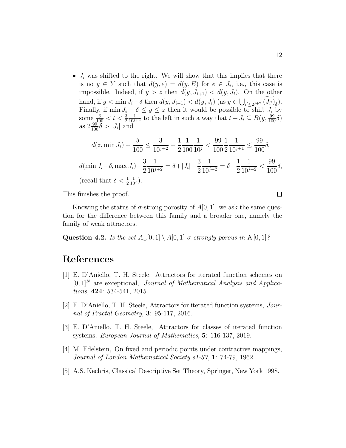•  $J_i$  was shifted to the right. We will show that this implies that there is no  $y \in Y$  such that  $d(y, e) = d(y, E)$  for  $e \in J_i$ , i.e., this case is impossible. Indeed, if  $y > z$  then  $d(y, J_{i+1}) < d(y, J_i)$ . On the other hand, if  $y < \min J_i - \delta$  then  $d(y, J_{i-1}) < d(y, J_i)$  (as  $y \in \bigcup_{i' \leq 2^{j+2}} (J_{i'})_\delta$ ).  $i'\leq 2^{j+2}$   $(J_{i'})_{\delta}$ Finally, if min  $J_i - \delta \leq y \leq z$  then it would be possible to shift  $J_i$  by some  $\frac{\delta}{100} < t < \frac{3}{2}$  $\frac{1}{10^{j+2}}$  to the left in such a way that  $t + J_i \subseteq B(y, \frac{99}{100}\delta)$ as  $2\frac{99}{100}\tilde{\delta} > |J_i|$  and

$$
d(z, \min J_i) + \frac{\delta}{100} \le \frac{3}{10^{j+2}} + \frac{1}{2} \frac{1}{100} \frac{1}{10^j} < \frac{99}{100} \frac{1}{2} \frac{1}{10^{j+1}} \le \frac{99}{100} \delta,
$$
  

$$
d(\min J_i - \delta, \max J_i) - \frac{3}{2} \frac{1}{10^{j+2}} = \delta + |J_i| - \frac{3}{2} \frac{1}{10^{j+2}} = \delta - \frac{1}{2} \frac{1}{10^{j+2}} < \frac{99}{100} \delta,
$$
  
(recall that  $\delta < \frac{1}{2} \frac{1}{10^j}$ ).

This finishes the proof.

Knowing the status of  $\sigma$ -strong porosity of  $A[0, 1]$ , we ask the same question for the difference between this family and a broader one, namely the family of weak attractors.

Question 4.2. *Is the set*  $A_w[0,1] \setminus A[0,1]$  *σ*-strongly-porous in  $K[0,1]$ ?

# <span id="page-11-0"></span>References

- [1] E. D'Aniello, T. H. Steele, Attractors for iterated function schemes on [0, 1]<sup>N</sup> are exceptional, *Journal of Mathematical Analysis and Applications*, 424: 534-541, 2015.
- <span id="page-11-2"></span><span id="page-11-1"></span>[2] E. D'Aniello, T. H. Steele, Attractors for iterated function systems, *Journal of Fractal Geometry*, 3: 95-117, 2016.
- <span id="page-11-3"></span>[3] E. D'Aniello, T. H. Steele, Attractors for classes of iterated function systems, *European Journal of Mathematics*, 5: 116-137, 2019.
- [4] M. Edelstein, On fixed and periodic points under contractive mappings, *Journal of London Mathematical Society s1-37*, 1: 74-79, 1962.
- [5] A.S. Kechris, Classical Descriptive Set Theory, Springer, New York 1998.

 $\Box$